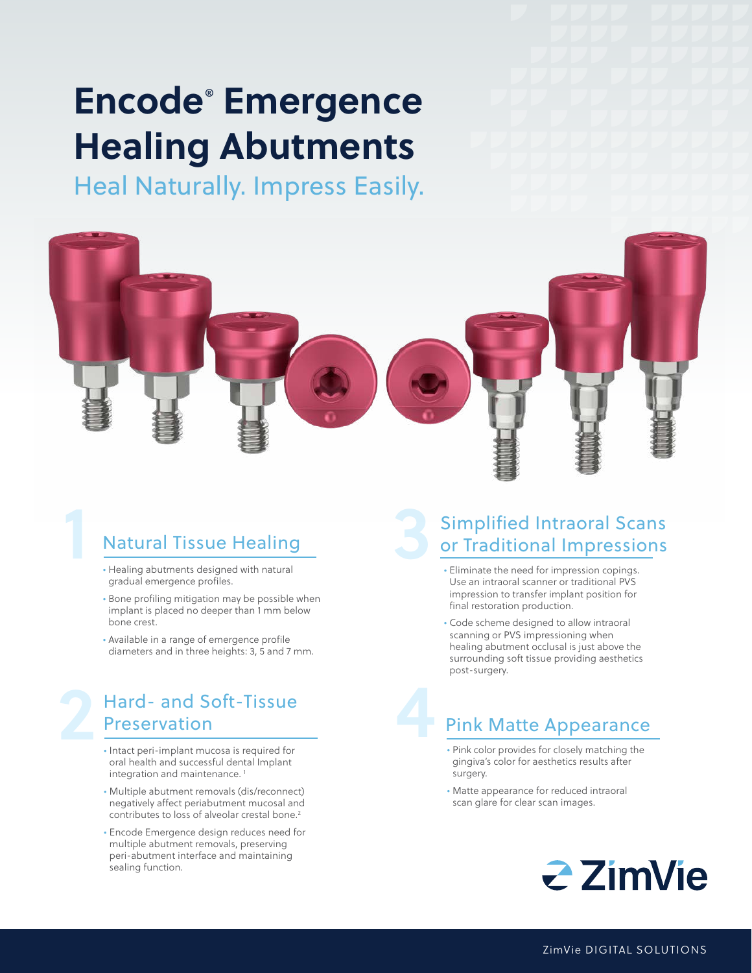## **Encode**®  **Emergence Healing Abutments**

Heal Naturally. Impress Easily.



## **1 • Natural Tissue Healing**<br>• Healing abutments designed with natural Natural Tissue Healing

- gradual emergence profiles.
- Bone profiling mitigation may be possible when implant is placed no deeper than 1 mm below bone crest.
- Available in a range of emergence profile diameters and in three heights: 3, 5 and 7 mm.

### Preservation<br>
Preservation<br>
The Preservation<br>
The Preservation<br>
The Preservation<br>
The Preservation<br>
The Preservation<br>
The Preservation<br>
The Preservation<br>
The Preservation<br>
The Preservation<br>
The Preservation<br>
The Preservati Hard- and Soft-Tissue Preservation

- oral health and successful dental Implant integration and maintenance.<sup>1</sup>
- Multiple abutment removals (dis/reconnect) negatively affect periabutment mucosal and contributes to loss of alveolar crestal bone.<sup>2</sup>
- Encode Emergence design reduces need for multiple abutment removals, preserving peri-abutment interface and maintaining sealing function.

# Simplified Intraoral Scans<br>or Traditional Impressions

- Eliminate the need for impression copings. Use an intraoral scanner or traditional PVS impression to transfer implant position for final restoration production.
- Code scheme designed to allow intraoral scanning or PVS impressioning when healing abutment occlusal is just above the surrounding soft tissue providing aesthetics post-surgery.

## Pink Matte Appearance Pink Matte Appearance

- gingiva's color for aesthetics results after surgery.
- Matte appearance for reduced intraoral scan glare for clear scan images.